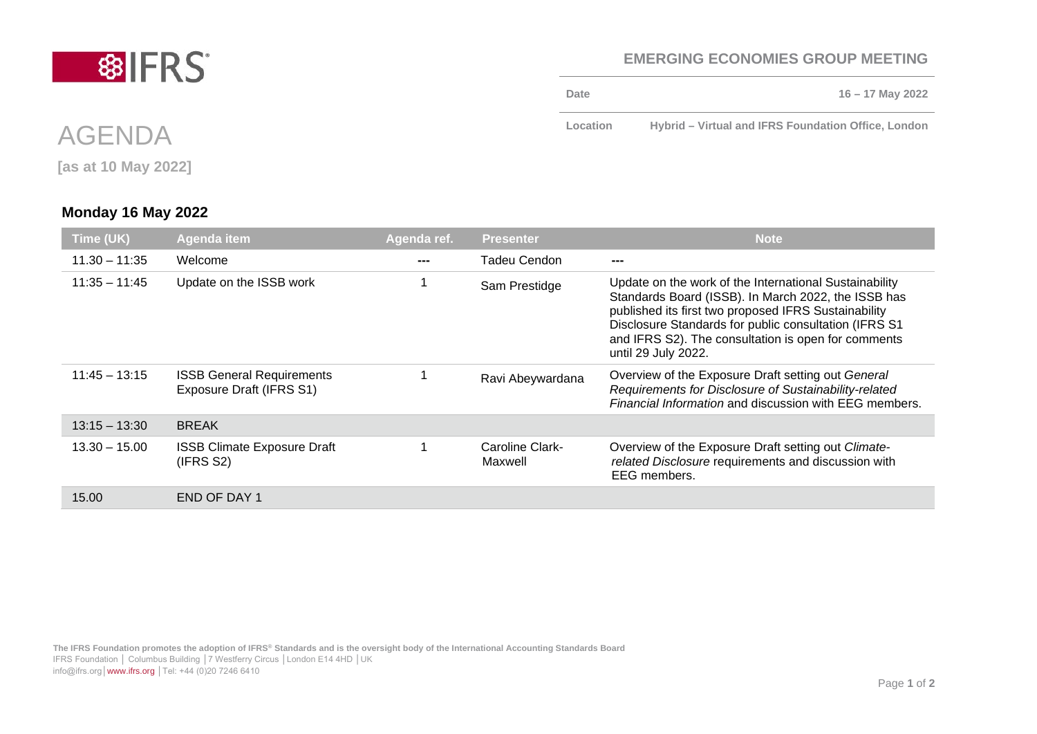## **EMERGING ECONOMIES GROUP MEETING**

**Date 16 – 17 May 2022**

**Location Hybrid – Virtual and IFRS Foundation Office, London**

IFRS Foundation │ Columbus Building │7 Westferry Circus │London E14 4HD │UK

info@ifrs.org│[www.ifrs.org](http://www.ifrs.org/) │Tel: +44 (0)20 7246 6410

## **Monday 16 May 2022**

| Time (UK)       | Agenda item                                                  | Agenda ref. | <b>Presenter</b>           | <b>Note</b>                                                                                                                                                                                                                                                                                                   |
|-----------------|--------------------------------------------------------------|-------------|----------------------------|---------------------------------------------------------------------------------------------------------------------------------------------------------------------------------------------------------------------------------------------------------------------------------------------------------------|
| $11.30 - 11.35$ | Welcome                                                      |             | Tadeu Cendon               |                                                                                                                                                                                                                                                                                                               |
| $11:35 - 11:45$ | Update on the ISSB work                                      |             | Sam Prestidge              | Update on the work of the International Sustainability<br>Standards Board (ISSB). In March 2022, the ISSB has<br>published its first two proposed IFRS Sustainability<br>Disclosure Standards for public consultation (IFRS S1)<br>and IFRS S2). The consultation is open for comments<br>until 29 July 2022. |
| $11:45 - 13:15$ | <b>ISSB General Requirements</b><br>Exposure Draft (IFRS S1) |             | Ravi Abeywardana           | Overview of the Exposure Draft setting out General<br>Requirements for Disclosure of Sustainability-related<br>Financial Information and discussion with EEG members.                                                                                                                                         |
| $13:15 - 13:30$ | <b>BREAK</b>                                                 |             |                            |                                                                                                                                                                                                                                                                                                               |
| $13.30 - 15.00$ | <b>ISSB Climate Exposure Draft</b><br>(IFRS S2)              |             | Caroline Clark-<br>Maxwell | Overview of the Exposure Draft setting out Climate-<br>related Disclosure requirements and discussion with<br>EEG members.                                                                                                                                                                                    |
| 15.00           | END OF DAY 1                                                 |             |                            |                                                                                                                                                                                                                                                                                                               |



AGENDA

**[as at 10 May 2022]**